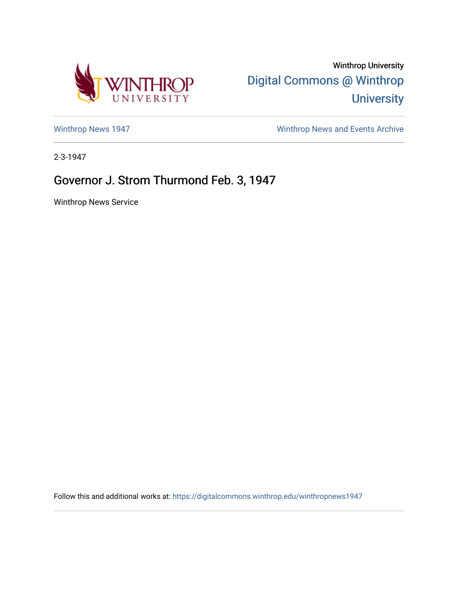

Winthrop University [Digital Commons @ Winthrop](https://digitalcommons.winthrop.edu/)  **University** 

[Winthrop News 1947](https://digitalcommons.winthrop.edu/winthropnews1947) [Winthrop News and Events Archive](https://digitalcommons.winthrop.edu/winthropnewsarchives) 

2-3-1947

## Governor J. Strom Thurmond Feb. 3, 1947

Winthrop News Service

Follow this and additional works at: [https://digitalcommons.winthrop.edu/winthropnews1947](https://digitalcommons.winthrop.edu/winthropnews1947?utm_source=digitalcommons.winthrop.edu%2Fwinthropnews1947%2F66&utm_medium=PDF&utm_campaign=PDFCoverPages)